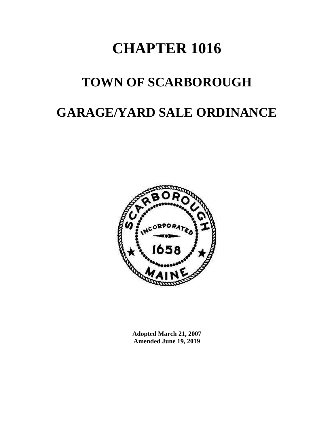## **CHAPTER 1016**

# **TOWN OF SCARBOROUGH**

### **GARAGE/YARD SALE ORDINANCE**



**Adopted March 21, 2007 Amended June 19, 2019**